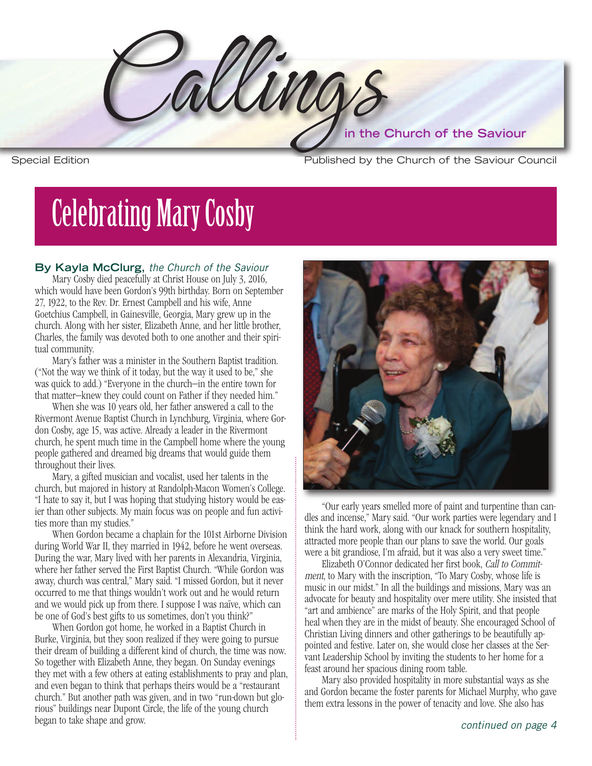Callings **in the Church of the Saviour**

**Special Edition** 

Published by the Church of the Saviour Council

# **Celebrating Mary Cosby**

## **By Kayla McClurg,** *the Church of the Saviour*

Mary Cosby died peacefully at Christ House on July 3, 2016, which would have been Gordon's 99th birthday. Born on September 27, 1922, to the Rev. Dr. Ernest Campbell and his wife, Anne Goetchius Campbell, in Gainesville, Georgia, Mary grew up in the church. Along with her sister, Elizabeth Anne, and her little brother, Charles, the family was devoted both to one another and their spiritual community.

 Mary's father was a minister in the Southern Baptist tradition. ("Not the way we think of it today, but the way it used to be," she was quick to add.) "Everyone in the church—in the entire town for that matter—knew they could count on Father if they needed him."

When she was 10 years old, her father answered a call to the Rivermont Avenue Baptist Church in Lynchburg, Virginia, where Gordon Cosby, age 15, was active. Already a leader in the Rivermont church, he spent much time in the Campbell home where the young people gathered and dreamed big dreams that would guide them throughout their lives.

 Mary, a gifted musician and vocalist, used her talents in the church, but majored in history at Randolph-Macon Women's College. "I hate to say it, but I was hoping that studying history would be eas- $T \cdot \int d\theta$  101.41  $\theta$ ier than other subjects. My main focus was on people and fun activities more than my studies."

away, church was central," Mary said. "I missed Gordon, but it never be one of God's best gifts to us sometimes, don't you think?" When Gordon became a chaplain for the 101st Airborne Division during World War II, they married in 1942, before he went overseas. During the war, Mary lived with her parents in Alexandria, Virginia, where her father served the First Baptist Church. "While Gordon was occurred to me that things wouldn't work out and he would return and we would pick up from there. I suppose I was naïve, which can

A and even began to think that perhaps theirs would be a "restaurant" rious" buildings near Dupont Circle, the life of the young church When Gordon got home, he worked in a Baptist Church in Burke, Virginia, but they soon realized if they were going to pursue their dream of building a different kind of church, the time was now. So together with Elizabeth Anne, they began. On Sunday evenings they met with a few others at eating establishments to pray and plan, church." But another path was given, and in two "run-down but globegan to take shape and grow. *continued on page <sup>4</sup>*



"Our early years smelled more of paint and turpentine than candles and incense," Mary said. "Our work parties were legendary and I In attracted more people than our plans to save the world. Our goals think the hard work, along with our knack for southern hospitality, were a bit grandiose, I'm afraid, but it was also a very sweet time."

Elizabeth O'Connor dedicated her first book, Call to Commitment, to Mary with the inscription, "To Mary Cosby, whose life is music in our midst." In all the buildings and missions, Mary was an advocate for beauty and hospitality over mere utility. She insisted that "art and ambience" are marks of the Holy Spirit, and that people heal when they are in the midst of beauty. She encouraged School of Christian Living dinners and other gatherings to be beautifully appointed and festive. Later on, she would close her classes at the Servant Leadership School by inviting the students to her home for a feast around her spacious dining room table.

Mary also provided hospitality in more substantial ways as she and Gordon became the foster parents for Michael Murphy, who gave them extra lessons in the power of tenacity and love. She also has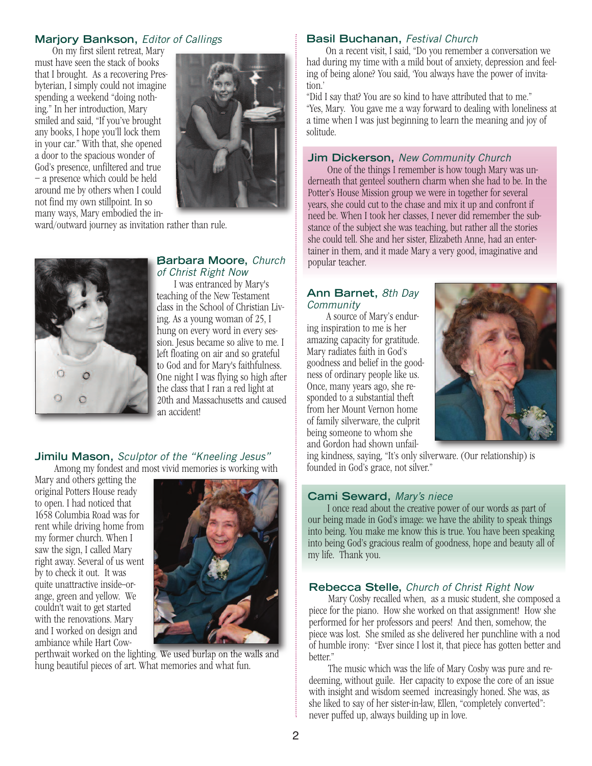# **Marjory Bankson,** *Editor of Callings*

On my first silent retreat, Mary must have seen the stack of books that I brought. As a recovering Presbyterian, I simply could not imagine spending a weekend "doing nothing." In her introduction, Mary smiled and said, "If you've brought any books, I hope you'll lock them in your car." With that, she opened a door to the spacious wonder of God's presence, unfiltered and true – a presence which could be held around me by others when I could not find my own stillpoint. In so many ways, Mary embodied the in-



ward/outward journey as invitation rather than rule.



#### **Barbara Moore,** *Church of Christ Right Now*

 I was entranced by Mary's teaching of the New Testament class in the School of Christian Living. As a young woman of 25, I hung on every word in every session. Jesus became so alive to me. I left floating on air and so grateful to God and for Mary's faithfulness. One night I was flying so high after the class that I ran a red light at 20th and Massachusetts and caused an accident!

#### **Jimilu Mason,** *Sculptor of the "Kneeling Jesus"* Among my fondest and most vivid memories is working with

Mary and others getting the original Potters House ready to open. I had noticed that 1658 Columbia Road was for rent while driving home from my former church. When I saw the sign, I called Mary right away. Several of us went by to check it out. It was quite unattractive inside-orange, green and yellow. We couldn't wait to get started with the renovations. Mary and I worked on design and ambiance while Hart Cow-



perthwait worked on the lighting. We used burlap on the walls and hung beautiful pieces of art. What memories and what fun.

## **Basil Buchanan,** *Festival Church*

 On a recent visit, I said, "Do you remember a conversation we had during my time with a mild bout of anxiety, depression and feeling of being alone? You said, 'You always have the power of invitation.'

"Did I say that? You are so kind to have attributed that to me." "Yes, Mary. You gave me a way forward to dealing with loneliness at a time when I was just beginning to learn the meaning and joy of solitude.

#### **Jim Dickerson,** *New Community Church*

 One of the things I remember is how tough Mary was underneath that genteel southern charm when she had to be. In the Potter's House Mission group we were in together for several years, she could cut to the chase and mix it up and confront if need be. When I took her classes, I never did remember the substance of the subject she was teaching, but rather all the stories she could tell. She and her sister, Elizabeth Anne, had an entertainer in them, and it made Mary a very good, imaginative and popular teacher.

#### **Ann Barnet,** *8th Day Community*

 A source of Mary's enduring inspiration to me is her amazing capacity for gratitude. Mary radiates faith in God's goodness and belief in the goodness of ordinary people like us. Once, many years ago, she responded to a substantial theft from her Mount Vernon home of family silverware, the culprit being someone to whom she and Gordon had shown unfail-



ing kindness, saying, "It's only silverware. (Our relationship) is founded in God's grace, not silver."

#### **Cami Seward,** *Mary's niece*

 I once read about the creative power of our words as part of our being made in God's image: we have the ability to speak things into being. You make me know this is true. You have been speaking into being God's gracious realm of goodness, hope and beauty all of my life. Thank you.

#### **Rebecca Stelle,** *Church of Christ Right Now*

 Mary Cosby recalled when, as a music student, she composed a piece for the piano. How she worked on that assignment! How she performed for her professors and peers! And then, somehow, the piece was lost. She smiled as she delivered her punchline with a nod of humble irony: "Ever since I lost it, that piece has gotten better and better."

 The music which was the life of Mary Cosby was pure and redeeming, without guile. Her capacity to expose the core of an issue with insight and wisdom seemed increasingly honed. She was, as she liked to say of her sister-in-law, Ellen, "completely converted": never puffed up, always building up in love.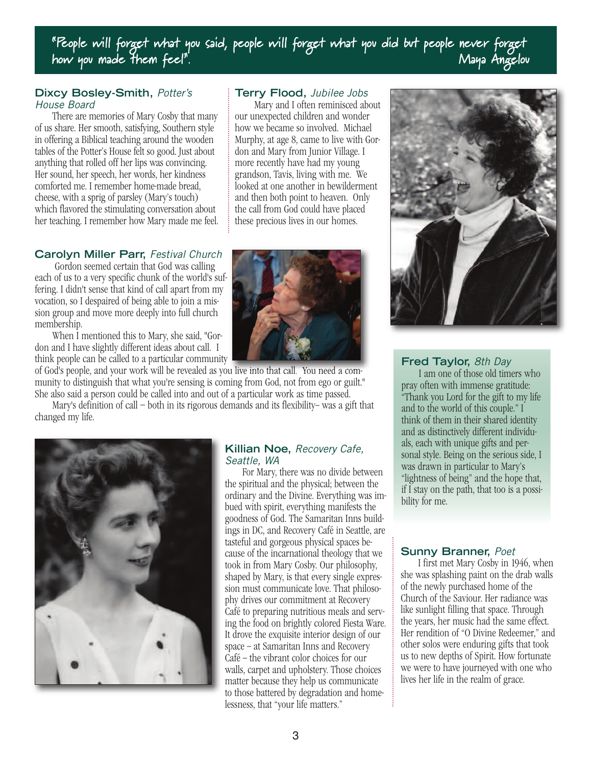"People will forget what you said, people will forget what you did but people never forget how you made them feel". The most of the contract of the Maya Angelou

#### **Dixcy Bosley-Smith,** *Potter's House Board*

There are memories of Mary Cosby that many of us share. Her smooth, satisfying, Southern style in offering a Biblical teaching around the wooden tables of the Potter's House felt so good. Just about anything that rolled off her lips was convincing. Her sound, her speech, her words, her kindness comforted me. I remember home-made bread, cheese, with a sprig of parsley (Mary's touch) which flavored the stimulating conversation about her teaching. I remember how Mary made me feel.

# **Carolyn Miller Parr,** *Festival Church*

Gordon seemed certain that God was calling each of us to a very specific chunk of the world's suffering. I didn't sense that kind of call apart from my vocation, so I despaired of being able to join a mission group and move more deeply into full church membership.

When I mentioned this to Mary, she said, "Gordon and I have slightly different ideas about call. I think people can be called to a particular community

of God's people, and your work will be revealed as you live into that call. You need a community to distinguish that what you're sensing is coming from God, not from ego or guilt." She also said a person could be called into and out of a particular work as time passed.

Mary's definition of call – both in its rigorous demands and its flexibility– was a gift that changed my life.



# **Terry Flood,** *Jubilee Jobs*

 Mary and I often reminisced about our unexpected children and wonder how we became so involved. Michael Murphy, at age 8, came to live with Gordon and Mary from Junior Village. I more recently have had my young grandson, Tavis, living with me. We looked at one another in bewilderment and then both point to heaven. Only the call from God could have placed these precious lives in our homes.



**Killian Noe,** *Recovery Cafe,*

For Mary, there was no divide between the spiritual and the physical; between the ordinary and the Divine. Everything was imbued with spirit, everything manifests the goodness of God. The Samaritan Inns buildings in DC, and Recovery Café in Seattle, are tasteful and gorgeous physical spaces because of the incarnational theology that we took in from Mary Cosby. Our philosophy, shaped by Mary, is that every single expression must communicate love. That philosophy drives our commitment at Recovery Café to preparing nutritious meals and serving the food on brightly colored Fiesta Ware. It drove the exquisite interior design of our space -- at Samaritan Inns and Recovery Café – the vibrant color choices for our walls, carpet and upholstery. Those choices matter because they help us communicate to those battered by degradation and home-

*Seattle, WA*



## **Fred Taylor,** *8th Day*

I am one of those old timers who pray often with immense gratitude: "Thank you Lord for the gift to my life and to the world of this couple." I think of them in their shared identity and as distinctively different individuals, each with unique gifts and personal style. Being on the serious side, I was drawn in particular to Mary's "lightness of being" and the hope that, if I stay on the path, that too is a possibility for me.

## **Sunny Branner,** *Poet*

I first met Mary Cosby in 1946, when she was splashing paint on the drab walls of the newly purchased home of the Church of the Saviour. Her radiance was like sunlight filling that space. Through the years, her music had the same effect. Her rendition of "O Divine Redeemer," and other solos were enduring gifts that took us to new depths of Spirit. How fortunate we were to have journeyed with one who lives her life in the realm of grace.

lessness, that "your life matters."